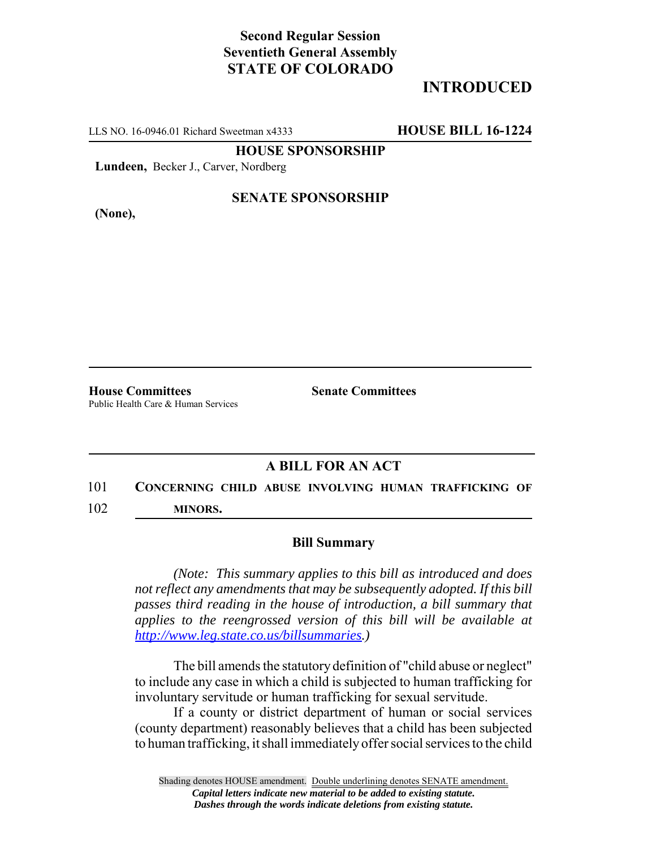## **Second Regular Session Seventieth General Assembly STATE OF COLORADO**

## **INTRODUCED**

LLS NO. 16-0946.01 Richard Sweetman x4333 **HOUSE BILL 16-1224**

**HOUSE SPONSORSHIP**

**Lundeen,** Becker J., Carver, Nordberg

**(None),**

### **SENATE SPONSORSHIP**

**House Committees Senate Committees** Public Health Care & Human Services

### **A BILL FOR AN ACT**

# 101 **CONCERNING CHILD ABUSE INVOLVING HUMAN TRAFFICKING OF**

102 **MINORS.**

#### **Bill Summary**

*(Note: This summary applies to this bill as introduced and does not reflect any amendments that may be subsequently adopted. If this bill passes third reading in the house of introduction, a bill summary that applies to the reengrossed version of this bill will be available at http://www.leg.state.co.us/billsummaries.)*

The bill amends the statutory definition of "child abuse or neglect" to include any case in which a child is subjected to human trafficking for involuntary servitude or human trafficking for sexual servitude.

If a county or district department of human or social services (county department) reasonably believes that a child has been subjected to human trafficking, it shall immediately offer social services to the child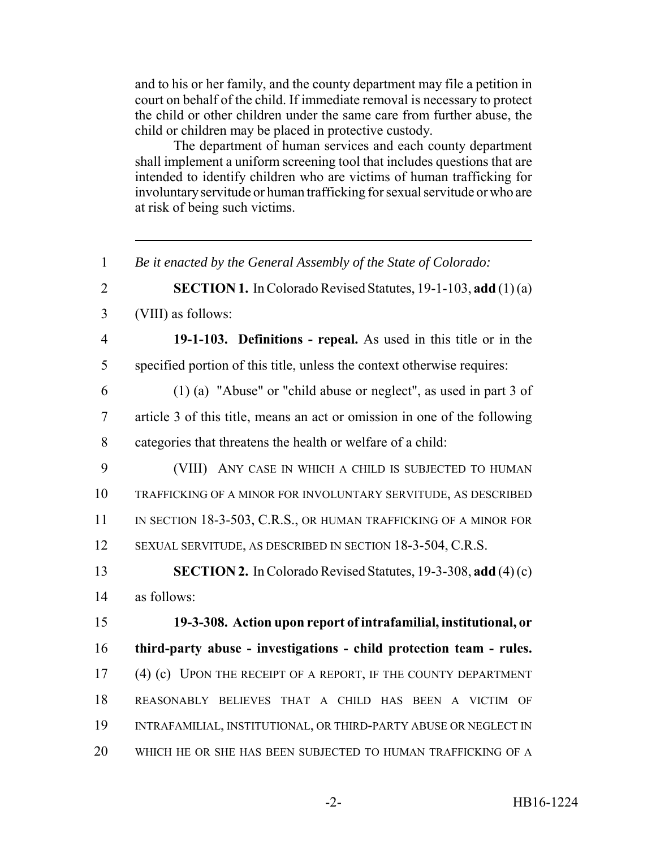and to his or her family, and the county department may file a petition in court on behalf of the child. If immediate removal is necessary to protect the child or other children under the same care from further abuse, the child or children may be placed in protective custody.

The department of human services and each county department shall implement a uniform screening tool that includes questions that are intended to identify children who are victims of human trafficking for involuntary servitude or human trafficking for sexual servitude or who are at risk of being such victims.

 *Be it enacted by the General Assembly of the State of Colorado:* **SECTION 1.** In Colorado Revised Statutes, 19-1-103, **add** (1) (a) (VIII) as follows: **19-1-103. Definitions - repeal.** As used in this title or in the specified portion of this title, unless the context otherwise requires: (1) (a) "Abuse" or "child abuse or neglect", as used in part 3 of article 3 of this title, means an act or omission in one of the following categories that threatens the health or welfare of a child: (VIII) ANY CASE IN WHICH A CHILD IS SUBJECTED TO HUMAN TRAFFICKING OF A MINOR FOR INVOLUNTARY SERVITUDE, AS DESCRIBED 11 IN SECTION 18-3-503, C.R.S., OR HUMAN TRAFFICKING OF A MINOR FOR SEXUAL SERVITUDE, AS DESCRIBED IN SECTION 18-3-504, C.R.S. **SECTION 2.** In Colorado Revised Statutes, 19-3-308, **add** (4) (c) as follows: **19-3-308. Action upon report of intrafamilial, institutional, or third-party abuse - investigations - child protection team - rules.** (4) (c) UPON THE RECEIPT OF A REPORT, IF THE COUNTY DEPARTMENT REASONABLY BELIEVES THAT A CHILD HAS BEEN A VICTIM OF INTRAFAMILIAL, INSTITUTIONAL, OR THIRD-PARTY ABUSE OR NEGLECT IN WHICH HE OR SHE HAS BEEN SUBJECTED TO HUMAN TRAFFICKING OF A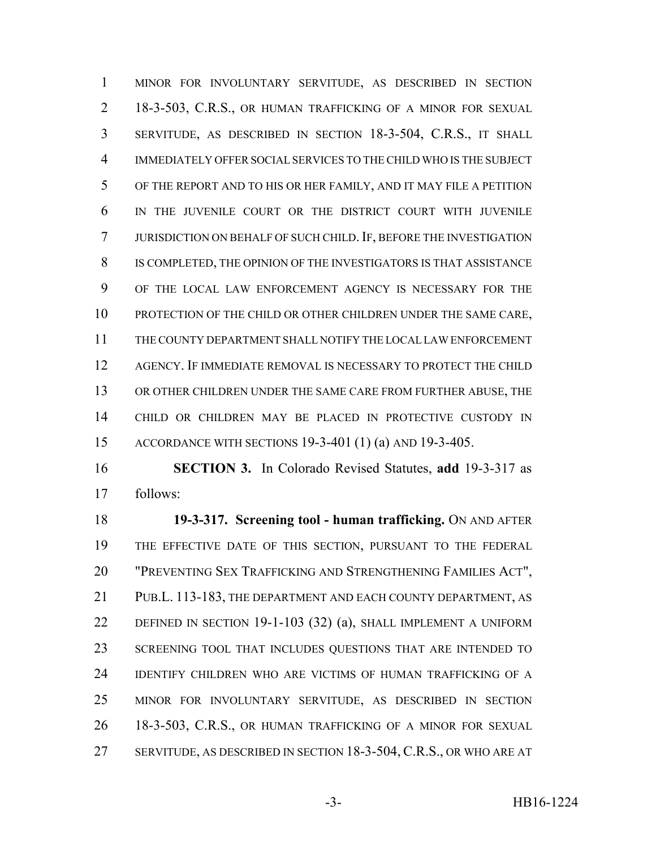MINOR FOR INVOLUNTARY SERVITUDE, AS DESCRIBED IN SECTION 18-3-503, C.R.S., OR HUMAN TRAFFICKING OF A MINOR FOR SEXUAL SERVITUDE, AS DESCRIBED IN SECTION 18-3-504, C.R.S., IT SHALL IMMEDIATELY OFFER SOCIAL SERVICES TO THE CHILD WHO IS THE SUBJECT OF THE REPORT AND TO HIS OR HER FAMILY, AND IT MAY FILE A PETITION IN THE JUVENILE COURT OR THE DISTRICT COURT WITH JUVENILE JURISDICTION ON BEHALF OF SUCH CHILD. IF, BEFORE THE INVESTIGATION IS COMPLETED, THE OPINION OF THE INVESTIGATORS IS THAT ASSISTANCE OF THE LOCAL LAW ENFORCEMENT AGENCY IS NECESSARY FOR THE PROTECTION OF THE CHILD OR OTHER CHILDREN UNDER THE SAME CARE, THE COUNTY DEPARTMENT SHALL NOTIFY THE LOCAL LAW ENFORCEMENT AGENCY. IF IMMEDIATE REMOVAL IS NECESSARY TO PROTECT THE CHILD OR OTHER CHILDREN UNDER THE SAME CARE FROM FURTHER ABUSE, THE CHILD OR CHILDREN MAY BE PLACED IN PROTECTIVE CUSTODY IN ACCORDANCE WITH SECTIONS 19-3-401 (1) (a) AND 19-3-405.

 **SECTION 3.** In Colorado Revised Statutes, **add** 19-3-317 as follows:

 **19-3-317. Screening tool - human trafficking.** ON AND AFTER THE EFFECTIVE DATE OF THIS SECTION, PURSUANT TO THE FEDERAL "PREVENTING SEX TRAFFICKING AND STRENGTHENING FAMILIES ACT", PUB.L. 113-183, THE DEPARTMENT AND EACH COUNTY DEPARTMENT, AS DEFINED IN SECTION 19-1-103 (32) (a), SHALL IMPLEMENT A UNIFORM 23 SCREENING TOOL THAT INCLUDES QUESTIONS THAT ARE INTENDED TO IDENTIFY CHILDREN WHO ARE VICTIMS OF HUMAN TRAFFICKING OF A MINOR FOR INVOLUNTARY SERVITUDE, AS DESCRIBED IN SECTION 18-3-503, C.R.S., OR HUMAN TRAFFICKING OF A MINOR FOR SEXUAL SERVITUDE, AS DESCRIBED IN SECTION 18-3-504, C.R.S., OR WHO ARE AT